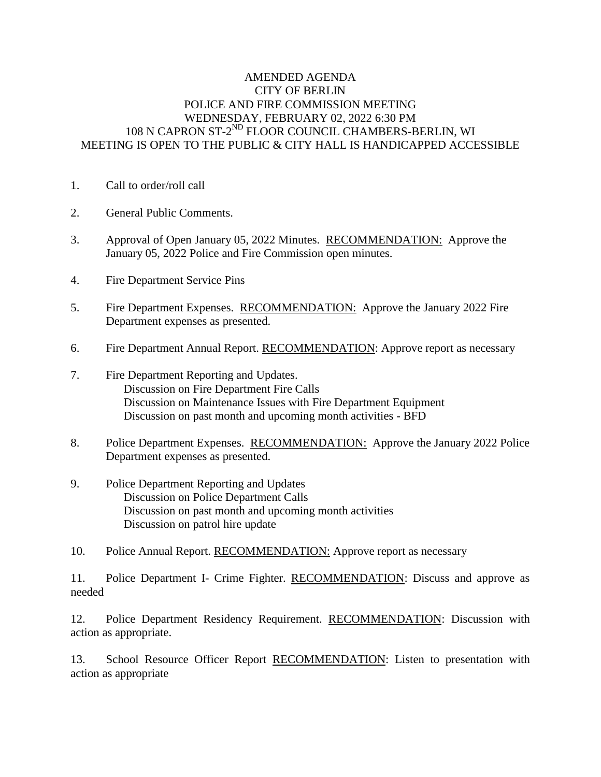## AMENDED AGENDA CITY OF BERLIN POLICE AND FIRE COMMISSION MEETING WEDNESDAY, FEBRUARY 02, 2022 6:30 PM 108 N CAPRON ST-2<sup>ND</sup> FLOOR COUNCIL CHAMBERS-BERLIN, WI MEETING IS OPEN TO THE PUBLIC & CITY HALL IS HANDICAPPED ACCESSIBLE

- 1. Call to order/roll call
- 2. General Public Comments.
- 3. Approval of Open January 05, 2022 Minutes. RECOMMENDATION: Approve the January 05, 2022 Police and Fire Commission open minutes.
- 4. Fire Department Service Pins
- 5. Fire Department Expenses. RECOMMENDATION: Approve the January 2022 Fire Department expenses as presented.
- 6. Fire Department Annual Report. RECOMMENDATION: Approve report as necessary
- 7. Fire Department Reporting and Updates. Discussion on Fire Department Fire Calls Discussion on Maintenance Issues with Fire Department Equipment Discussion on past month and upcoming month activities - BFD
- 8. Police Department Expenses. RECOMMENDATION: Approve the January 2022 Police Department expenses as presented.
- 9. Police Department Reporting and Updates Discussion on Police Department Calls Discussion on past month and upcoming month activities Discussion on patrol hire update
- 10. Police Annual Report. RECOMMENDATION: Approve report as necessary

11. Police Department I- Crime Fighter. RECOMMENDATION: Discuss and approve as needed

12. Police Department Residency Requirement. RECOMMENDATION: Discussion with action as appropriate.

13. School Resource Officer Report RECOMMENDATION: Listen to presentation with action as appropriate